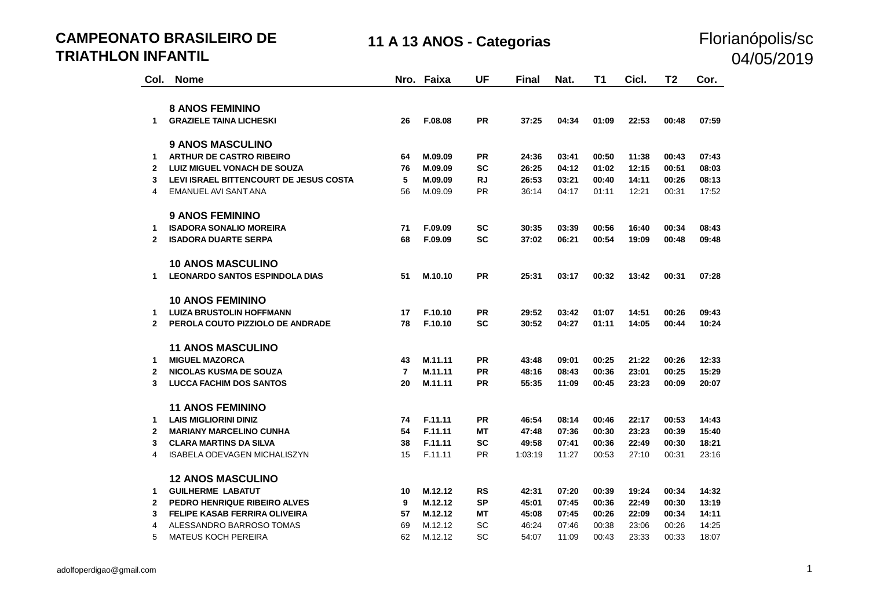**CAMPEONATO BRASILEIRO DE TRIATHLON INFANTIL**

#### 11 A 13 ANOS - Categorias **Florianópolis/sc** 04/05/2019

| Col.           | <b>Nome</b>                            |                | Nro. Faixa | <b>UF</b> | <b>Final</b> | Nat.  | T <sub>1</sub> | Cicl. | T <sub>2</sub> | Cor.  |
|----------------|----------------------------------------|----------------|------------|-----------|--------------|-------|----------------|-------|----------------|-------|
|                |                                        |                |            |           |              |       |                |       |                |       |
|                | <b>8 ANOS FEMININO</b>                 |                |            |           |              |       |                |       |                |       |
| $\mathbf{1}$   | <b>GRAZIELE TAINA LICHESKI</b>         | 26             | F.08.08    | <b>PR</b> | 37:25        | 04:34 | 01:09          | 22:53 | 00:48          | 07:59 |
|                |                                        |                |            |           |              |       |                |       |                |       |
|                | <b>9 ANOS MASCULINO</b>                |                |            |           |              |       |                |       |                |       |
| 1              | <b>ARTHUR DE CASTRO RIBEIRO</b>        | 64             | M.09.09    | <b>PR</b> | 24:36        | 03:41 | 00:50          | 11:38 | 00:43          | 07:43 |
| $\mathbf{2}$   | <b>LUIZ MIGUEL VONACH DE SOUZA</b>     | 76             | M.09.09    | <b>SC</b> | 26:25        | 04:12 | 01:02          | 12:15 | 00:51          | 08:03 |
| 3              | LEVI ISRAEL BITTENCOURT DE JESUS COSTA | 5              | M.09.09    | <b>RJ</b> | 26:53        | 03:21 | 00:40          | 14:11 | 00:26          | 08:13 |
| $\overline{4}$ | EMANUEL AVI SANT ANA                   | 56             | M.09.09    | <b>PR</b> | 36:14        | 04:17 | 01:11          | 12:21 | 00:31          | 17:52 |
|                | <b>9 ANOS FEMININO</b>                 |                |            |           |              |       |                |       |                |       |
| 1              | <b>ISADORA SONALIO MOREIRA</b>         | 71             | F.09.09    | <b>SC</b> | 30:35        | 03:39 | 00:56          | 16:40 | 00:34          | 08:43 |
| $\mathbf{2}$   | <b>ISADORA DUARTE SERPA</b>            | 68             | F.09.09    | <b>SC</b> | 37:02        | 06:21 | 00:54          | 19:09 | 00:48          | 09:48 |
|                |                                        |                |            |           |              |       |                |       |                |       |
|                | <b>10 ANOS MASCULINO</b>               |                |            |           |              |       |                |       |                |       |
| 1              | <b>LEONARDO SANTOS ESPINDOLA DIAS</b>  | 51             | M.10.10    | <b>PR</b> | 25:31        | 03:17 | 00:32          | 13:42 | 00:31          | 07:28 |
|                | <b>10 ANOS FEMININO</b>                |                |            |           |              |       |                |       |                |       |
| 1              | <b>LUIZA BRUSTOLIN HOFFMANN</b>        | 17             | F.10.10    | <b>PR</b> | 29:52        | 03:42 | 01:07          | 14:51 | 00:26          | 09:43 |
| $\mathbf{2}$   | PEROLA COUTO PIZZIOLO DE ANDRADE       | 78             | F.10.10    | <b>SC</b> | 30:52        | 04:27 | 01:11          | 14:05 | 00:44          | 10:24 |
|                |                                        |                |            |           |              |       |                |       |                |       |
|                | <b>11 ANOS MASCULINO</b>               |                |            |           |              |       |                |       |                |       |
| 1              | <b>MIGUEL MAZORCA</b>                  | 43             | M.11.11    | <b>PR</b> | 43:48        | 09:01 | 00:25          | 21:22 | 00:26          | 12:33 |
| $\mathbf{2}$   | <b>NICOLAS KUSMA DE SOUZA</b>          | $\overline{7}$ | M.11.11    | <b>PR</b> | 48:16        | 08:43 | 00:36          | 23:01 | 00:25          | 15:29 |
| 3              | <b>LUCCA FACHIM DOS SANTOS</b>         | 20             | M.11.11    | <b>PR</b> | 55:35        | 11:09 | 00:45          | 23:23 | 00:09          | 20:07 |
|                | <b>11 ANOS FEMININO</b>                |                |            |           |              |       |                |       |                |       |
| 1              | <b>LAIS MIGLIORINI DINIZ</b>           | 74             | F.11.11    | <b>PR</b> | 46:54        | 08:14 | 00:46          | 22:17 | 00:53          | 14:43 |
| $\mathbf{2}$   | <b>MARIANY MARCELINO CUNHA</b>         | 54             | F.11.11    | <b>MT</b> | 47:48        | 07:36 | 00:30          | 23:23 | 00:39          | 15:40 |
| 3              | <b>CLARA MARTINS DA SILVA</b>          | 38             | F.11.11    | <b>SC</b> | 49:58        | 07:41 |                | 22:49 | 00:30          | 18:21 |
| 4              |                                        |                |            |           |              |       | 00:36          |       |                |       |
|                | <b>ISABELA ODEVAGEN MICHALISZYN</b>    | 15             | F.11.11    | <b>PR</b> | 1:03:19      | 11:27 | 00:53          | 27:10 | 00:31          | 23:16 |
|                | <b>12 ANOS MASCULINO</b>               |                |            |           |              |       |                |       |                |       |
| 1              | <b>GUILHERME LABATUT</b>               | 10             | M.12.12    | <b>RS</b> | 42:31        | 07:20 | 00:39          | 19:24 | 00:34          | 14:32 |
| $\mathbf{2}$   | PEDRO HENRIQUE RIBEIRO ALVES           | 9              | M.12.12    | <b>SP</b> | 45:01        | 07:45 | 00:36          | 22:49 | 00:30          | 13:19 |
| 3              | <b>FELIPE KASAB FERRIRA OLIVEIRA</b>   | 57             | M.12.12    | <b>MT</b> | 45:08        | 07:45 | 00:26          | 22:09 | 00:34          | 14:11 |
| 4              | ALESSANDRO BARROSO TOMAS               | 69             | M.12.12    | SC        | 46:24        | 07:46 | 00:38          | 23:06 | 00:26          | 14:25 |
| 5              | <b>MATEUS KOCH PEREIRA</b>             | 62             | M.12.12    | <b>SC</b> | 54:07        | 11:09 | 00:43          | 23:33 | 00:33          | 18:07 |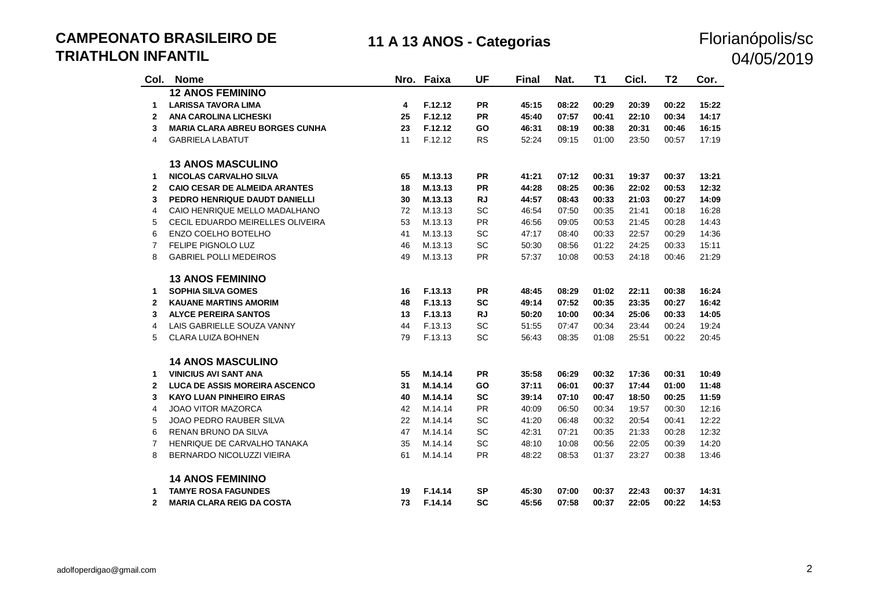**CAMPEONATO BRASILEIRO DE TRIATHLON INFANTIL**

## 11 A 13 ANOS - Categorias **Florianópolis/sc**

# 04/05/2019

| Col.           | <b>Nome</b>                           |    | Nro. Faixa | <b>UF</b> | <b>Final</b> | Nat.  | T1    | Cicl. | T2    | Cor.  |
|----------------|---------------------------------------|----|------------|-----------|--------------|-------|-------|-------|-------|-------|
|                | <b>12 ANOS FEMININO</b>               |    |            |           |              |       |       |       |       |       |
| 1              | <b>LARISSA TAVORA LIMA</b>            | 4  | F.12.12    | <b>PR</b> | 45:15        | 08:22 | 00:29 | 20:39 | 00:22 | 15:22 |
| $\mathbf{2}$   | <b>ANA CAROLINA LICHESKI</b>          | 25 | F.12.12    | <b>PR</b> | 45:40        | 07:57 | 00:41 | 22:10 | 00:34 | 14:17 |
| 3              | <b>MARIA CLARA ABREU BORGES CUNHA</b> | 23 | F.12.12    | GO        | 46:31        | 08:19 | 00:38 | 20:31 | 00:46 | 16:15 |
| $\overline{4}$ | <b>GABRIELA LABATUT</b>               | 11 | F.12.12    | <b>RS</b> | 52:24        | 09:15 | 01:00 | 23:50 | 00:57 | 17:19 |
|                | <b>13 ANOS MASCULINO</b>              |    |            |           |              |       |       |       |       |       |
| 1              | <b>NICOLAS CARVALHO SILVA</b>         | 65 | M.13.13    | <b>PR</b> | 41:21        | 07:12 | 00:31 | 19:37 | 00:37 | 13:21 |
| $\mathbf{2}$   | <b>CAIO CESAR DE ALMEIDA ARANTES</b>  | 18 | M.13.13    | <b>PR</b> | 44:28        | 08:25 | 00:36 | 22:02 | 00:53 | 12:32 |
| 3              | PEDRO HENRIQUE DAUDT DANIELLI         | 30 | M.13.13    | <b>RJ</b> | 44:57        | 08:43 | 00:33 | 21:03 | 00:27 | 14:09 |
| 4              | CAIO HENRIQUE MELLO MADALHANO         | 72 | M.13.13    | SC        | 46:54        | 07:50 | 00:35 | 21:41 | 00:18 | 16:28 |
| 5              | CECIL EDUARDO MEIRELLES OLIVEIRA      | 53 | M.13.13    | PR        | 46:56        | 09:05 | 00:53 | 21:45 | 00:28 | 14:43 |
| 6              | ENZO COELHO BOTELHO                   | 41 | M.13.13    | SC        | 47:17        | 08:40 | 00:33 | 22:57 | 00:29 | 14:36 |
| $\overline{7}$ | FELIPE PIGNOLO LUZ                    | 46 | M.13.13    | SC        | 50:30        | 08:56 | 01:22 | 24:25 | 00:33 | 15:11 |
| 8              | <b>GABRIEL POLLI MEDEIROS</b>         | 49 | M.13.13    | <b>PR</b> | 57:37        | 10:08 | 00:53 | 24:18 | 00:46 | 21:29 |
|                | <b>13 ANOS FEMININO</b>               |    |            |           |              |       |       |       |       |       |
| $\mathbf 1$    | <b>SOPHIA SILVA GOMES</b>             | 16 | F.13.13    | <b>PR</b> | 48:45        | 08:29 | 01:02 | 22:11 | 00:38 | 16:24 |
| $\mathbf{2}$   | <b>KAUANE MARTINS AMORIM</b>          | 48 | F.13.13    | <b>SC</b> | 49:14        | 07:52 | 00:35 | 23:35 | 00:27 | 16:42 |
| 3              | <b>ALYCE PEREIRA SANTOS</b>           | 13 | F.13.13    | <b>RJ</b> | 50:20        | 10:00 | 00:34 | 25:06 | 00:33 | 14:05 |
| 4              | LAIS GABRIELLE SOUZA VANNY            | 44 | F.13.13    | SC        | 51:55        | 07:47 | 00:34 | 23:44 | 00:24 | 19:24 |
| 5              | CLARA LUIZA BOHNEN                    | 79 | F.13.13    | SC        | 56:43        | 08:35 | 01:08 | 25:51 | 00:22 | 20:45 |
|                | <b>14 ANOS MASCULINO</b>              |    |            |           |              |       |       |       |       |       |
| 1              | <b>VINICIUS AVI SANT ANA</b>          | 55 | M.14.14    | <b>PR</b> | 35:58        | 06:29 | 00:32 | 17:36 | 00:31 | 10:49 |
| 2              | <b>LUCA DE ASSIS MOREIRA ASCENCO</b>  | 31 | M.14.14    | GO        | 37:11        | 06:01 | 00:37 | 17:44 | 01:00 | 11:48 |
| 3              | <b>KAYO LUAN PINHEIRO EIRAS</b>       | 40 | M.14.14    | <b>SC</b> | 39:14        | 07:10 | 00:47 | 18:50 | 00:25 | 11:59 |
| 4              | <b>JOAO VITOR MAZORCA</b>             | 42 | M.14.14    | PR        | 40:09        | 06:50 | 00:34 | 19:57 | 00:30 | 12:16 |
| 5              | JOAO PEDRO RAUBER SILVA               | 22 | M.14.14    | <b>SC</b> | 41:20        | 06:48 | 00:32 | 20:54 | 00:41 | 12:22 |
| 6              | RENAN BRUNO DA SILVA                  | 47 | M.14.14    | SC        | 42:31        | 07:21 | 00:35 | 21:33 | 00:28 | 12:32 |
| 7              | HENRIQUE DE CARVALHO TANAKA           | 35 | M.14.14    | SC        | 48:10        | 10:08 | 00:56 | 22:05 | 00:39 | 14:20 |
| 8              | <b>BERNARDO NICOLUZZI VIEIRA</b>      | 61 | M.14.14    | PR        | 48:22        | 08:53 | 01:37 | 23:27 | 00:38 | 13:46 |
|                | <b>14 ANOS FEMININO</b>               |    |            |           |              |       |       |       |       |       |
| 1              | <b>TAMYE ROSA FAGUNDES</b>            | 19 | F.14.14    | <b>SP</b> | 45:30        | 07:00 | 00:37 | 22:43 | 00:37 | 14:31 |
| $\mathbf{2}$   | <b>MARIA CLARA REIG DA COSTA</b>      | 73 | F.14.14    | <b>SC</b> | 45:56        | 07:58 | 00:37 | 22:05 | 00:22 | 14:53 |